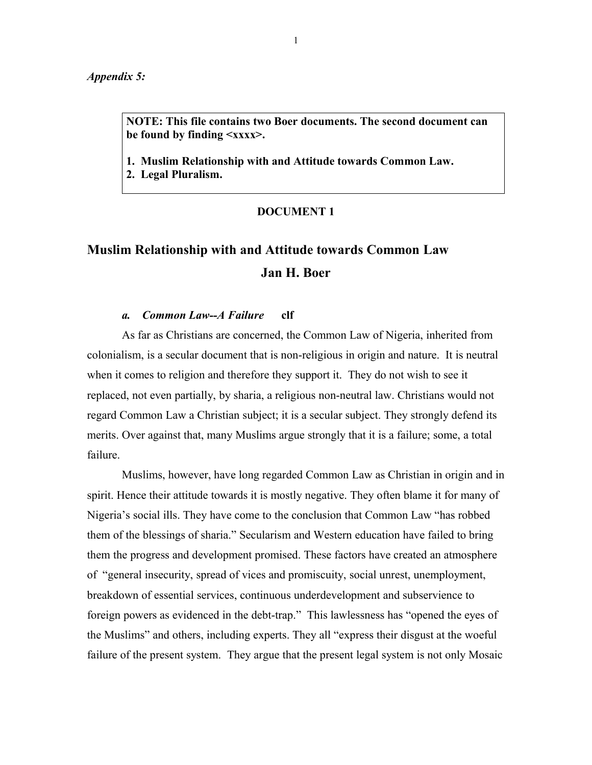*Appendix 5:*

**NOTE: This file contains two Boer documents. The second document can be found by finding <xxxx>.**

**1. Muslim Relationship with and Attitude towards Common Law. 2. Legal Pluralism.**

## **DOCUMENT 1**

# **Muslim Relationship with and Attitude towards Common Law Jan H. Boer**

## *a. Common Law--A Failure* **clf**

As far as Christians are concerned, the Common Law of Nigeria, inherited from colonialism, is a secular document that is non-religious in origin and nature. It is neutral when it comes to religion and therefore they support it. They do not wish to see it replaced, not even partially, by sharia, a religious non-neutral law. Christians would not regard Common Law a Christian subject; it is a secular subject. They strongly defend its merits. Over against that, many Muslims argue strongly that it is a failure; some, a total failure.

Muslims, however, have long regarded Common Law as Christian in origin and in spirit. Hence their attitude towards it is mostly negative. They often blame it for many of Nigeria's social ills. They have come to the conclusion that Common Law "has robbed them of the blessings of sharia." Secularism and Western education have failed to bring them the progress and development promised. These factors have created an atmosphere of "general insecurity, spread of vices and promiscuity, social unrest, unemployment, breakdown of essential services, continuous underdevelopment and subservience to foreign powers as evidenced in the debt-trap." This lawlessness has "opened the eyes of the Muslims" and others, including experts. They all "express their disgust at the woeful failure of the present system. They argue that the present legal system is not only Mosaic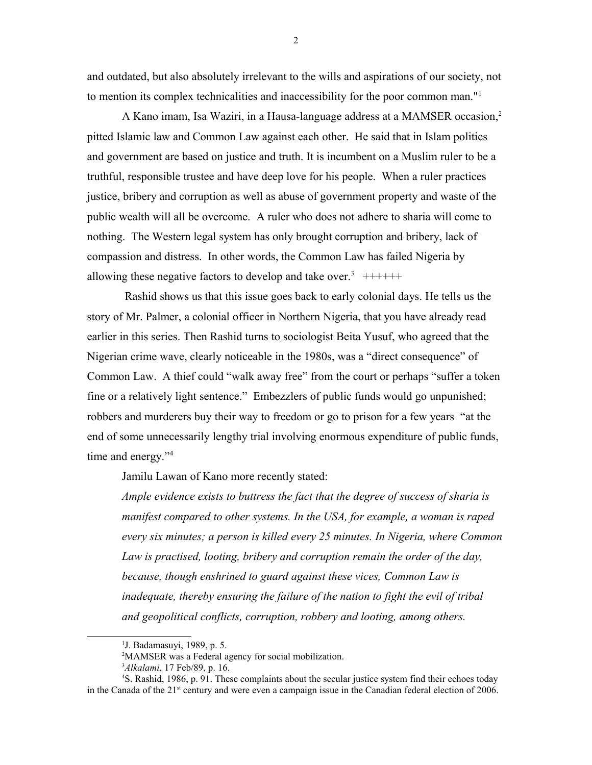and outdated, but also absolutely irrelevant to the wills and aspirations of our society, not to mention its complex technicalities and inaccessibility for the poor common man."[1](#page-1-0)

A Kano imam, Isa Waziri, in a Hausa-language address at a MAMSER occasion,<sup>[2](#page-1-1)</sup> pitted Islamic law and Common Law against each other. He said that in Islam politics and government are based on justice and truth. It is incumbent on a Muslim ruler to be a truthful, responsible trustee and have deep love for his people. When a ruler practices justice, bribery and corruption as well as abuse of government property and waste of the public wealth will all be overcome. A ruler who does not adhere to sharia will come to nothing. The Western legal system has only brought corruption and bribery, lack of compassion and distress. In other words, the Common Law has failed Nigeria by allowing these negative factors to develop and take over.<sup>[3](#page-1-2)</sup>  $+++++$ 

 Rashid shows us that this issue goes back to early colonial days. He tells us the story of Mr. Palmer, a colonial officer in Northern Nigeria, that you have already read earlier in this series. Then Rashid turns to sociologist Beita Yusuf, who agreed that the Nigerian crime wave, clearly noticeable in the 1980s, was a "direct consequence" of Common Law. A thief could "walk away free" from the court or perhaps "suffer a token fine or a relatively light sentence." Embezzlers of public funds would go unpunished; robbers and murderers buy their way to freedom or go to prison for a few years "at the end of some unnecessarily lengthy trial involving enormous expenditure of public funds, time and energy."<sup>[4](#page-1-3)</sup>

Jamilu Lawan of Kano more recently stated:

*Ample evidence exists to buttress the fact that the degree of success of sharia is manifest compared to other systems. In the USA, for example, a woman is raped every six minutes; a person is killed every 25 minutes. In Nigeria, where Common Law is practised, looting, bribery and corruption remain the order of the day, because, though enshrined to guard against these vices, Common Law is inadequate, thereby ensuring the failure of the nation to fight the evil of tribal and geopolitical conflicts, corruption, robbery and looting, among others.* 

<span id="page-1-3"></span><span id="page-1-2"></span><sup>3</sup>*Alkalami*, 17 Feb/89, p. 16.

2

<span id="page-1-0"></span><sup>&</sup>lt;sup>1</sup>J. Badamasuyi, 1989, p. 5.

<span id="page-1-1"></span><sup>&</sup>lt;sup>2</sup>MAMSER was a Federal agency for social mobilization.

<sup>4</sup>S. Rashid, 1986, p. 91. These complaints about the secular justice system find their echoes today in the Canada of the 21<sup>st</sup> century and were even a campaign issue in the Canadian federal election of 2006.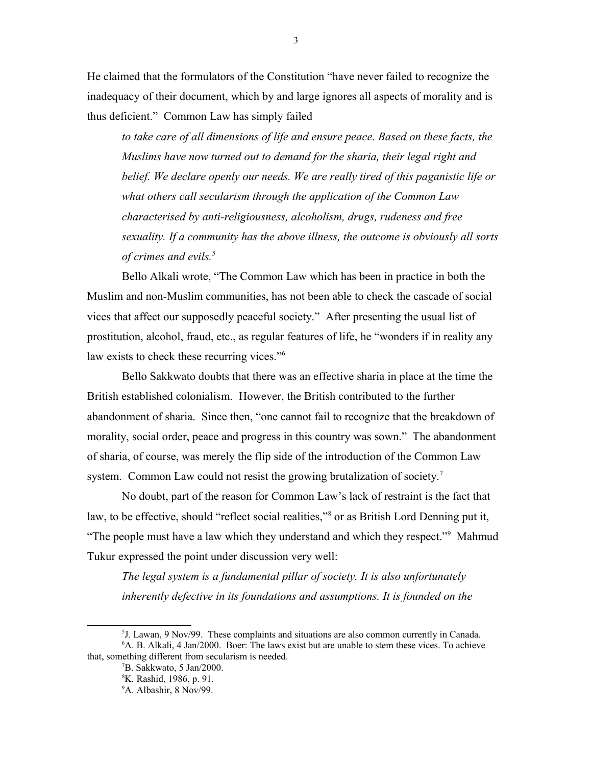He claimed that the formulators of the Constitution "have never failed to recognize the inadequacy of their document, which by and large ignores all aspects of morality and is thus deficient." Common Law has simply failed

to take care of all dimensions of life and ensure peace. Based on these facts, the *Muslims have now turned out to demand for the sharia, their legal right and belief. We declare openly our needs. We are really tired of this paganistic life or what others call secularism through the application of the Common Law characterised by anti-religiousness, alcoholism, drugs, rudeness and free sexuality. If a community has the above illness, the outcome is obviously all sorts of crimes and evils.[5](#page-2-0)*

Bello Alkali wrote, "The Common Law which has been in practice in both the Muslim and non-Muslim communities, has not been able to check the cascade of social vices that affect our supposedly peaceful society." After presenting the usual list of prostitution, alcohol, fraud, etc., as regular features of life, he "wonders if in reality any law exists to check these recurring vices."<sup>[6](#page-2-1)</sup>

Bello Sakkwato doubts that there was an effective sharia in place at the time the British established colonialism. However, the British contributed to the further abandonment of sharia. Since then, "one cannot fail to recognize that the breakdown of morality, social order, peace and progress in this country was sown." The abandonment of sharia, of course, was merely the flip side of the introduction of the Common Law system. Common Law could not resist the growing brutalization of society.<sup>[7](#page-2-2)</sup>

No doubt, part of the reason for Common Law's lack of restraint is the fact that law, to be effective, should "reflect social realities,"<sup>[8](#page-2-3)</sup> or as British Lord Denning put it, "The people must have a law which they understand and which they respect."<sup>[9](#page-2-4)</sup> Mahmud Tukur expressed the point under discussion very well:

*The legal system is a fundamental pillar of society. It is also unfortunately inherently defective in its foundations and assumptions. It is founded on the* 

<sup>5</sup> J. Lawan, 9 Nov/99. These complaints and situations are also common currently in Canada. <sup>6</sup>A. B. Alkali, 4 Jan/2000. Boer: The laws exist but are unable to stem these vices. To achieve that, something different from secularism is needed.

<span id="page-2-2"></span><span id="page-2-1"></span><span id="page-2-0"></span><sup>7</sup>B. Sakkwato, 5 Jan/2000.

<span id="page-2-3"></span><sup>8</sup>K. Rashid, 1986, p. 91.

<span id="page-2-4"></span><sup>&</sup>lt;sup>9</sup>A. Albashir, 8 Nov/99.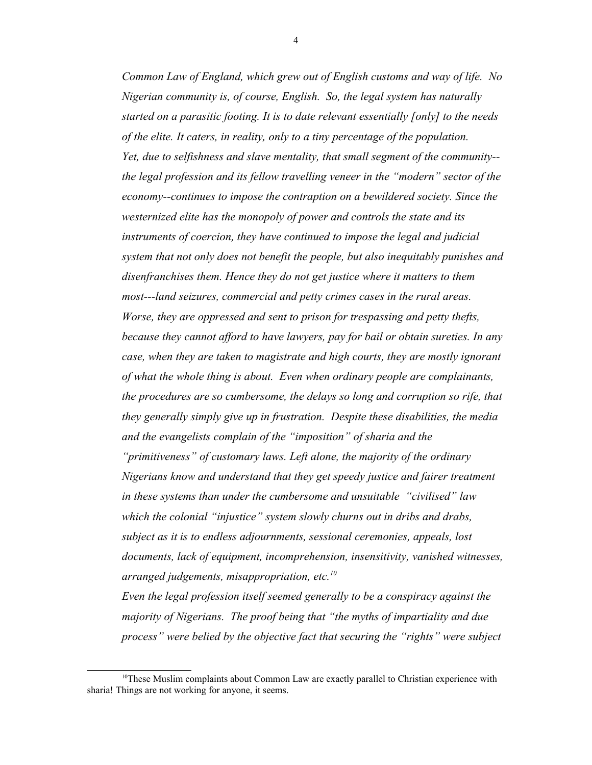*Common Law of England, which grew out of English customs and way of life. No Nigerian community is, of course, English. So, the legal system has naturally started on a parasitic footing. It is to date relevant essentially [only] to the needs of the elite. It caters, in reality, only to a tiny percentage of the population. Yet, due to selfishness and slave mentality, that small segment of the community- the legal profession and its fellow travelling veneer in the "modern" sector of the economy--continues to impose the contraption on a bewildered society. Since the westernized elite has the monopoly of power and controls the state and its instruments of coercion, they have continued to impose the legal and judicial system that not only does not benefit the people, but also inequitably punishes and disenfranchises them. Hence they do not get justice where it matters to them most---land seizures, commercial and petty crimes cases in the rural areas. Worse, they are oppressed and sent to prison for trespassing and petty thefts, because they cannot afford to have lawyers, pay for bail or obtain sureties. In any case, when they are taken to magistrate and high courts, they are mostly ignorant of what the whole thing is about. Even when ordinary people are complainants, the procedures are so cumbersome, the delays so long and corruption so rife, that they generally simply give up in frustration. Despite these disabilities, the media and the evangelists complain of the "imposition" of sharia and the "primitiveness" of customary laws. Left alone, the majority of the ordinary Nigerians know and understand that they get speedy justice and fairer treatment in these systems than under the cumbersome and unsuitable "civilised" law which the colonial "injustice" system slowly churns out in dribs and drabs, subject as it is to endless adjournments, sessional ceremonies, appeals, lost documents, lack of equipment, incomprehension, insensitivity, vanished witnesses, arranged judgements, misappropriation, etc.[10](#page-3-0)*

*Even the legal profession itself seemed generally to be a conspiracy against the majority of Nigerians. The proof being that "the myths of impartiality and due process" were belied by the objective fact that securing the "rights" were subject*

<span id="page-3-0"></span><sup>&</sup>lt;sup>10</sup>These Muslim complaints about Common Law are exactly parallel to Christian experience with sharia! Things are not working for anyone, it seems.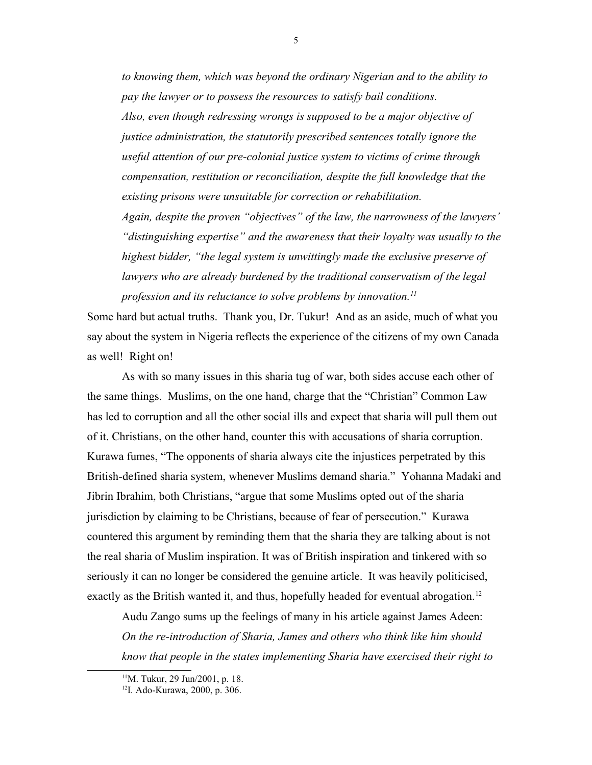*to knowing them, which was beyond the ordinary Nigerian and to the ability to pay the lawyer or to possess the resources to satisfy bail conditions. Also, even though redressing wrongs is supposed to be a major objective of justice administration, the statutorily prescribed sentences totally ignore the useful attention of our pre-colonial justice system to victims of crime through compensation, restitution or reconciliation, despite the full knowledge that the existing prisons were unsuitable for correction or rehabilitation. Again, despite the proven "objectives" of the law, the narrowness of the lawyers' "distinguishing expertise" and the awareness that their loyalty was usually to the highest bidder, "the legal system is unwittingly made the exclusive preserve of lawyers who are already burdened by the traditional conservatism of the legal profession and its reluctance to solve problems by innovation.[11](#page-4-0)*

Some hard but actual truths. Thank you, Dr. Tukur! And as an aside, much of what you say about the system in Nigeria reflects the experience of the citizens of my own Canada as well! Right on!

As with so many issues in this sharia tug of war, both sides accuse each other of the same things. Muslims, on the one hand, charge that the "Christian" Common Law has led to corruption and all the other social ills and expect that sharia will pull them out of it. Christians, on the other hand, counter this with accusations of sharia corruption. Kurawa fumes, "The opponents of sharia always cite the injustices perpetrated by this British-defined sharia system, whenever Muslims demand sharia." Yohanna Madaki and Jibrin Ibrahim, both Christians, "argue that some Muslims opted out of the sharia jurisdiction by claiming to be Christians, because of fear of persecution." Kurawa countered this argument by reminding them that the sharia they are talking about is not the real sharia of Muslim inspiration. It was of British inspiration and tinkered with so seriously it can no longer be considered the genuine article. It was heavily politicised, exactly as the British wanted it, and thus, hopefully headed for eventual abrogation.<sup>[12](#page-4-1)</sup>

Audu Zango sums up the feelings of many in his article against James Adeen: *On the re-introduction of Sharia, James and others who think like him should know that people in the states implementing Sharia have exercised their right to* 

<span id="page-4-0"></span><sup>11</sup>M. Tukur, 29 Jun/2001, p. 18.

<span id="page-4-1"></span><sup>12</sup>I. Ado-Kurawa, 2000, p. 306.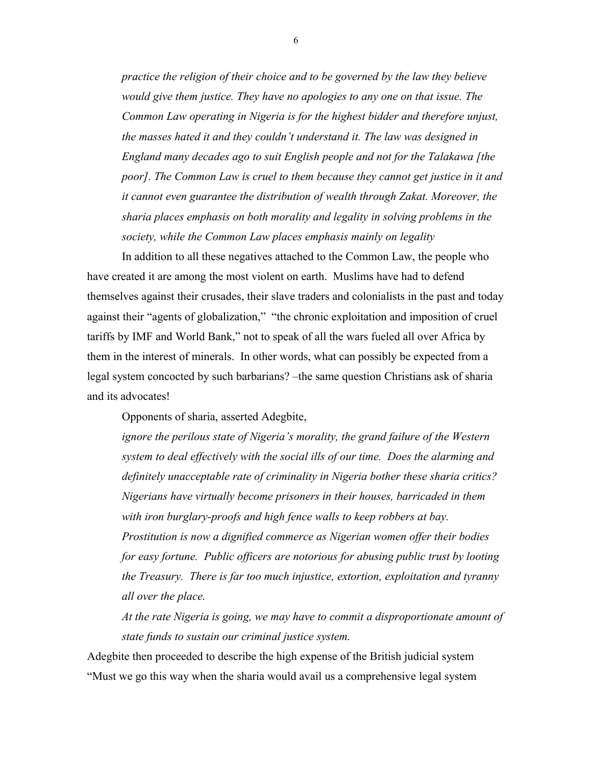*practice the religion of their choice and to be governed by the law they believe would give them justice. They have no apologies to any one on that issue. The Common Law operating in Nigeria is for the highest bidder and therefore unjust, the masses hated it and they couldn't understand it. The law was designed in England many decades ago to suit English people and not for the Talakawa [the poor]. The Common Law is cruel to them because they cannot get justice in it and it cannot even guarantee the distribution of wealth through Zakat. Moreover, the sharia places emphasis on both morality and legality in solving problems in the society, while the Common Law places emphasis mainly on legality*

In addition to all these negatives attached to the Common Law, the people who have created it are among the most violent on earth. Muslims have had to defend themselves against their crusades, their slave traders and colonialists in the past and today against their "agents of globalization," "the chronic exploitation and imposition of cruel tariffs by IMF and World Bank," not to speak of all the wars fueled all over Africa by them in the interest of minerals. In other words, what can possibly be expected from a legal system concocted by such barbarians? –the same question Christians ask of sharia and its advocates!

Opponents of sharia, asserted Adegbite,

*ignore the perilous state of Nigeria's morality, the grand failure of the Western system to deal effectively with the social ills of our time. Does the alarming and definitely unacceptable rate of criminality in Nigeria bother these sharia critics? Nigerians have virtually become prisoners in their houses, barricaded in them with iron burglary-proofs and high fence walls to keep robbers at bay. Prostitution is now a dignified commerce as Nigerian women offer their bodies for easy fortune. Public officers are notorious for abusing public trust by looting the Treasury. There is far too much injustice, extortion, exploitation and tyranny all over the place.*

*At the rate Nigeria is going, we may have to commit a disproportionate amount of state funds to sustain our criminal justice system.*

Adegbite then proceeded to describe the high expense of the British judicial system "Must we go this way when the sharia would avail us a comprehensive legal system

6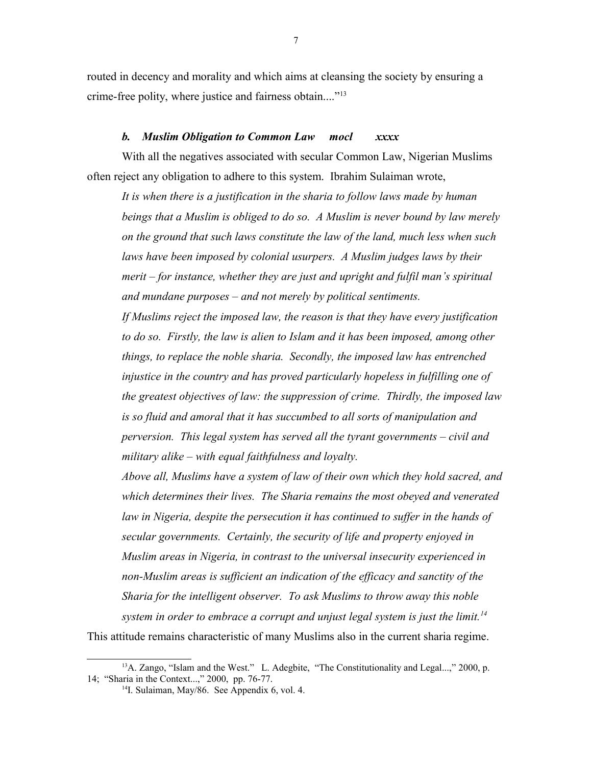routed in decency and morality and which aims at cleansing the society by ensuring a crime-free polity, where justice and fairness obtain...."<sup>[13](#page-6-0)</sup>

#### *b. Muslim Obligation to Common Law mocl xxxx*

With all the negatives associated with secular Common Law, Nigerian Muslims often reject any obligation to adhere to this system. Ibrahim Sulaiman wrote,

*It is when there is a justification in the sharia to follow laws made by human beings that a Muslim is obliged to do so. A Muslim is never bound by law merely on the ground that such laws constitute the law of the land, much less when such*  laws have been imposed by colonial usurpers. A Muslim judges laws by their *merit – for instance, whether they are just and upright and fulfil man's spiritual and mundane purposes – and not merely by political sentiments. If Muslims reject the imposed law, the reason is that they have every justification*  to do so. Firstly, the law is alien to Islam and it has been imposed, among other *things, to replace the noble sharia. Secondly, the imposed law has entrenched injustice in the country and has proved particularly hopeless in fulfilling one of the greatest objectives of law: the suppression of crime. Thirdly, the imposed law is so fluid and amoral that it has succumbed to all sorts of manipulation and perversion. This legal system has served all the tyrant governments – civil and military alike – with equal faithfulness and loyalty.* 

*Above all, Muslims have a system of law of their own which they hold sacred, and which determines their lives. The Sharia remains the most obeyed and venerated*  law in Nigeria, despite the persecution it has continued to suffer in the hands of *secular governments. Certainly, the security of life and property enjoyed in Muslim areas in Nigeria, in contrast to the universal insecurity experienced in non-Muslim areas is sufficient an indication of the efficacy and sanctity of the Sharia for the intelligent observer. To ask Muslims to throw away this noble system in order to embrace a corrupt and unjust legal system is just the limit.[14](#page-6-1)*

This attitude remains characteristic of many Muslims also in the current sharia regime.

 $13A$ . Zango, "Islam and the West." L. Adegbite, "The Constitutionality and Legal...," 2000, p. 14; "Sharia in the Context...," 2000, pp. 76-77.

<span id="page-6-1"></span><span id="page-6-0"></span><sup>&</sup>lt;sup>14</sup>I. Sulaiman, May/86. See Appendix 6, vol. 4.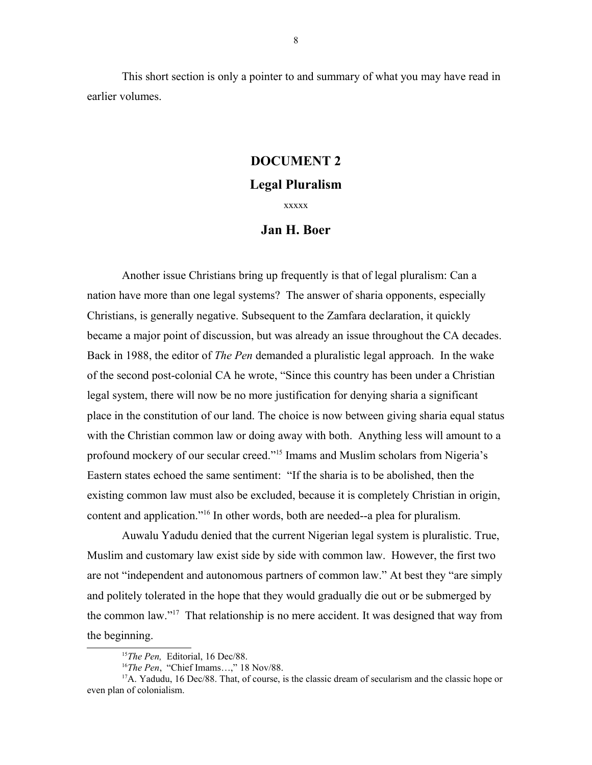This short section is only a pointer to and summary of what you may have read in earlier volumes.

## **DOCUMENT 2**

# **Legal Pluralism**

xxxxx

# **Jan H. Boer**

Another issue Christians bring up frequently is that of legal pluralism: Can a nation have more than one legal systems? The answer of sharia opponents, especially Christians, is generally negative. Subsequent to the Zamfara declaration, it quickly became a major point of discussion, but was already an issue throughout the CA decades. Back in 1988, the editor of *The Pen* demanded a pluralistic legal approach. In the wake of the second post-colonial CA he wrote, "Since this country has been under a Christian legal system, there will now be no more justification for denying sharia a significant place in the constitution of our land. The choice is now between giving sharia equal status with the Christian common law or doing away with both. Anything less will amount to a profound mockery of our secular creed."[15](#page-7-0) Imams and Muslim scholars from Nigeria's Eastern states echoed the same sentiment: "If the sharia is to be abolished, then the existing common law must also be excluded, because it is completely Christian in origin, content and application."[16](#page-7-1) In other words, both are needed--a plea for pluralism.

Auwalu Yadudu denied that the current Nigerian legal system is pluralistic. True, Muslim and customary law exist side by side with common law. However, the first two are not "independent and autonomous partners of common law." At best they "are simply and politely tolerated in the hope that they would gradually die out or be submerged by the common law."<sup>[17](#page-7-2)</sup> That relationship is no mere accident. It was designed that way from the beginning.

<span id="page-7-0"></span><sup>&</sup>lt;sup>15</sup>The Pen, Editorial, 16 Dec/88.

<span id="page-7-2"></span><span id="page-7-1"></span><sup>16</sup>*The Pen*, "Chief Imams…," 18 Nov/88.

 $17A$ . Yadudu, 16 Dec/88. That, of course, is the classic dream of secularism and the classic hope or even plan of colonialism.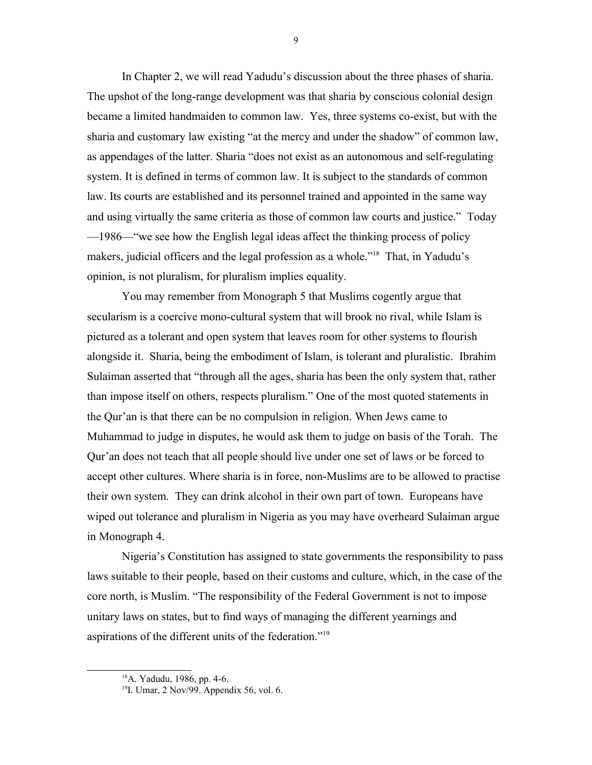In Chapter 2, we will read Yadudu's discussion about the three phases of sharia. The upshot of the long-range development was that sharia by conscious colonial design became a limited handmaiden to common law. Yes, three systems co-exist, but with the sharia and customary law existing "at the mercy and under the shadow" of common law, as appendages of the latter. Sharia "does not exist as an autonomous and self-regulating system. It is defined in terms of common law. It is subject to the standards of common law. Its courts are established and its personnel trained and appointed in the same way and using virtually the same criteria as those of common law courts and justice." Today —1986—"we see how the English legal ideas affect the thinking process of policy makers, judicial officers and the legal profession as a whole."<sup>[18](#page-8-0)</sup> That, in Yadudu's opinion, is not pluralism, for pluralism implies equality.

You may remember from Monograph 5 that Muslims cogently argue that secularism is a coercive mono-cultural system that will brook no rival, while Islam is pictured as a tolerant and open system that leaves room for other systems to flourish alongside it. Sharia, being the embodiment of Islam, is tolerant and pluralistic. Ibrahim Sulaiman asserted that "through all the ages, sharia has been the only system that, rather than impose itself on others, respects pluralism." One of the most quoted statements in the Qur'an is that there can be no compulsion in religion. When Jews came to Muhammad to judge in disputes, he would ask them to judge on basis of the Torah. The Qur'an does not teach that all people should live under one set of laws or be forced to accept other cultures. Where sharia is in force, non-Muslims are to be allowed to practise their own system. They can drink alcohol in their own part of town. Europeans have wiped out tolerance and pluralism in Nigeria as you may have overheard Sulaiman argue in Monograph 4.

Nigeria's Constitution has assigned to state governments the responsibility to pass laws suitable to their people, based on their customs and culture, which, in the case of the core north, is Muslim. "The responsibility of the Federal Government is not to impose unitary laws on states, but to find ways of managing the different yearnings and aspirations of the different units of the federation."<sup>[19](#page-8-1)</sup>

9

<span id="page-8-0"></span><sup>18</sup>A. Yadudu, 1986, pp. 4-6.

<span id="page-8-1"></span><sup>&</sup>lt;sup>19</sup>I. Umar, 2 Nov/99. Appendix 56, vol. 6.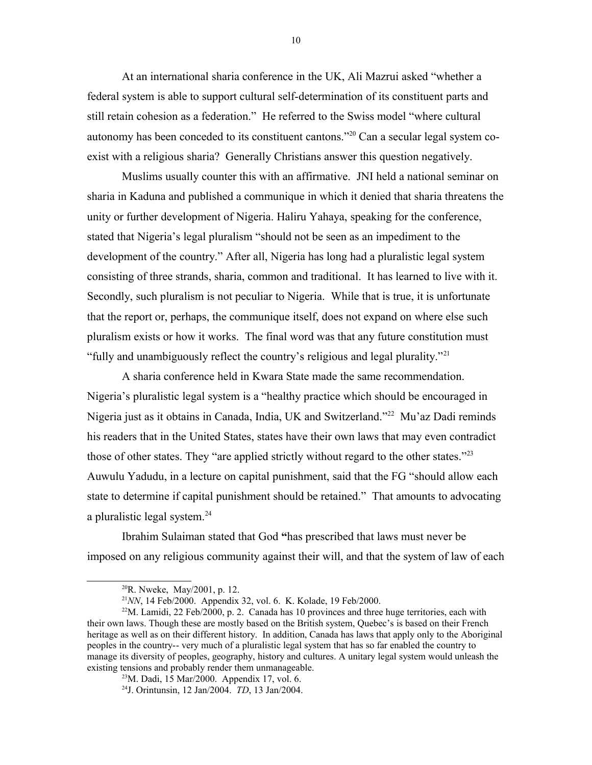At an international sharia conference in the UK, Ali Mazrui asked "whether a federal system is able to support cultural self-determination of its constituent parts and still retain cohesion as a federation." He referred to the Swiss model "where cultural autonomy has been conceded to its constituent cantons."[20](#page-9-0) Can a secular legal system coexist with a religious sharia? Generally Christians answer this question negatively.

Muslims usually counter this with an affirmative. JNI held a national seminar on sharia in Kaduna and published a communique in which it denied that sharia threatens the unity or further development of Nigeria. Haliru Yahaya, speaking for the conference, stated that Nigeria's legal pluralism "should not be seen as an impediment to the development of the country." After all, Nigeria has long had a pluralistic legal system consisting of three strands, sharia, common and traditional. It has learned to live with it. Secondly, such pluralism is not peculiar to Nigeria. While that is true, it is unfortunate that the report or, perhaps, the communique itself, does not expand on where else such pluralism exists or how it works. The final word was that any future constitution must "fully and unambiguously reflect the country's religious and legal plurality."[21](#page-9-1)

A sharia conference held in Kwara State made the same recommendation. Nigeria's pluralistic legal system is a "healthy practice which should be encouraged in Nigeria just as it obtains in Canada, India, UK and Switzerland."<sup>[22](#page-9-2)</sup> Mu'az Dadi reminds his readers that in the United States, states have their own laws that may even contradict those of other states. They "are applied strictly without regard to the other states."<sup>[23](#page-9-3)</sup> Auwulu Yadudu, in a lecture on capital punishment, said that the FG "should allow each state to determine if capital punishment should be retained." That amounts to advocating a pluralistic legal system.<sup>[24](#page-9-4)</sup>

Ibrahim Sulaiman stated that God **"**has prescribed that laws must never be imposed on any religious community against their will, and that the system of law of each

<span id="page-9-0"></span><sup>20</sup>R. Nweke, May/2001, p. 12.

<span id="page-9-2"></span><span id="page-9-1"></span><sup>&</sup>lt;sup>21</sup> NN, 14 Feb/2000. Appendix 32, vol. 6. K. Kolade, 19 Feb/2000.

<sup>&</sup>lt;sup>22</sup>M. Lamidi, 22 Feb/2000, p. 2. Canada has 10 provinces and three huge territories, each with their own laws. Though these are mostly based on the British system, Quebec's is based on their French heritage as well as on their different history. In addition, Canada has laws that apply only to the Aboriginal peoples in the country-- very much of a pluralistic legal system that has so far enabled the country to manage its diversity of peoples, geography, history and cultures. A unitary legal system would unleash the existing tensions and probably render them unmanageable.

<span id="page-9-3"></span><sup>23</sup>M. Dadi, 15 Mar/2000. Appendix 17, vol. 6.

<span id="page-9-4"></span><sup>24</sup>J. Orintunsin, 12 Jan/2004. *TD*, 13 Jan/2004.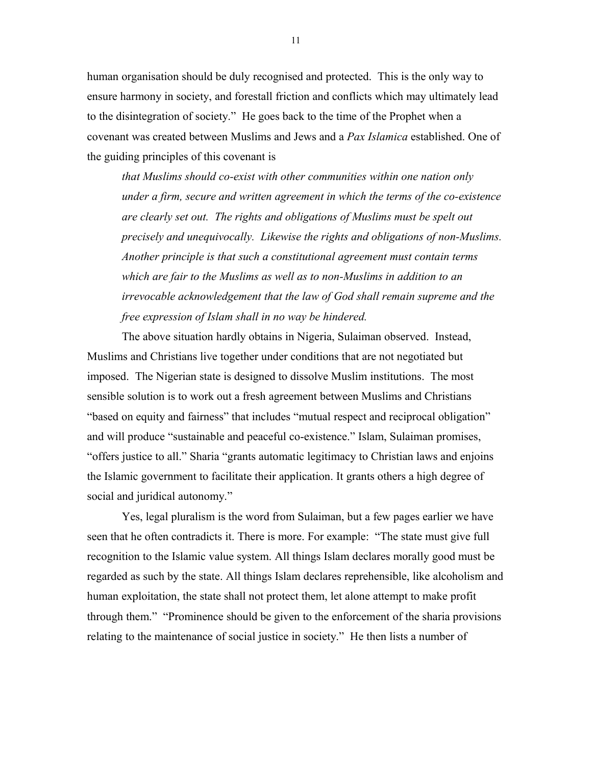human organisation should be duly recognised and protected. This is the only way to ensure harmony in society, and forestall friction and conflicts which may ultimately lead to the disintegration of society." He goes back to the time of the Prophet when a covenant was created between Muslims and Jews and a *Pax Islamica* established. One of the guiding principles of this covenant is

*that Muslims should co-exist with other communities within one nation only under a firm, secure and written agreement in which the terms of the co-existence are clearly set out. The rights and obligations of Muslims must be spelt out precisely and unequivocally. Likewise the rights and obligations of non-Muslims. Another principle is that such a constitutional agreement must contain terms which are fair to the Muslims as well as to non-Muslims in addition to an irrevocable acknowledgement that the law of God shall remain supreme and the free expression of Islam shall in no way be hindered.*

The above situation hardly obtains in Nigeria, Sulaiman observed. Instead, Muslims and Christians live together under conditions that are not negotiated but imposed. The Nigerian state is designed to dissolve Muslim institutions. The most sensible solution is to work out a fresh agreement between Muslims and Christians "based on equity and fairness" that includes "mutual respect and reciprocal obligation" and will produce "sustainable and peaceful co-existence." Islam, Sulaiman promises, "offers justice to all." Sharia "grants automatic legitimacy to Christian laws and enjoins the Islamic government to facilitate their application. It grants others a high degree of social and juridical autonomy."

Yes, legal pluralism is the word from Sulaiman, but a few pages earlier we have seen that he often contradicts it. There is more. For example: "The state must give full recognition to the Islamic value system. All things Islam declares morally good must be regarded as such by the state. All things Islam declares reprehensible, like alcoholism and human exploitation, the state shall not protect them, let alone attempt to make profit through them." "Prominence should be given to the enforcement of the sharia provisions relating to the maintenance of social justice in society." He then lists a number of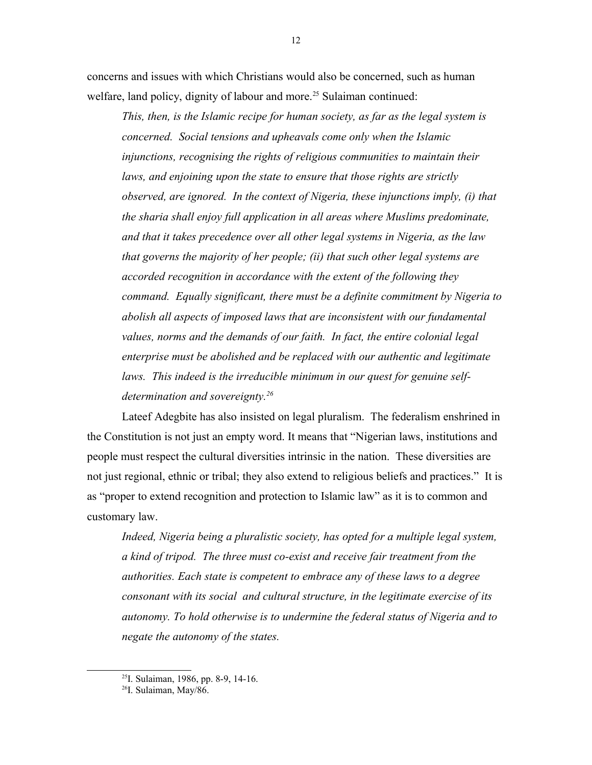concerns and issues with which Christians would also be concerned, such as human welfare, land policy, dignity of labour and more.<sup>[25](#page-11-0)</sup> Sulaiman continued:

*This, then, is the Islamic recipe for human society, as far as the legal system is concerned. Social tensions and upheavals come only when the Islamic injunctions, recognising the rights of religious communities to maintain their laws, and enjoining upon the state to ensure that those rights are strictly observed, are ignored. In the context of Nigeria, these injunctions imply, (i) that the sharia shall enjoy full application in all areas where Muslims predominate, and that it takes precedence over all other legal systems in Nigeria, as the law that governs the majority of her people; (ii) that such other legal systems are accorded recognition in accordance with the extent of the following they command. Equally significant, there must be a definite commitment by Nigeria to abolish all aspects of imposed laws that are inconsistent with our fundamental values, norms and the demands of our faith. In fact, the entire colonial legal enterprise must be abolished and be replaced with our authentic and legitimate laws. This indeed is the irreducible minimum in our quest for genuine selfdetermination and sovereignty.[26](#page-11-1)*

Lateef Adegbite has also insisted on legal pluralism. The federalism enshrined in the Constitution is not just an empty word. It means that "Nigerian laws, institutions and people must respect the cultural diversities intrinsic in the nation. These diversities are not just regional, ethnic or tribal; they also extend to religious beliefs and practices." It is as "proper to extend recognition and protection to Islamic law" as it is to common and customary law.

*Indeed, Nigeria being a pluralistic society, has opted for a multiple legal system, a kind of tripod. The three must co-exist and receive fair treatment from the authorities. Each state is competent to embrace any of these laws to a degree consonant with its social and cultural structure, in the legitimate exercise of its autonomy. To hold otherwise is to undermine the federal status of Nigeria and to negate the autonomy of the states.*

<span id="page-11-0"></span><sup>25</sup>I. Sulaiman, 1986, pp. 8-9, 14-16.

<span id="page-11-1"></span><sup>26</sup>I. Sulaiman, May/86.